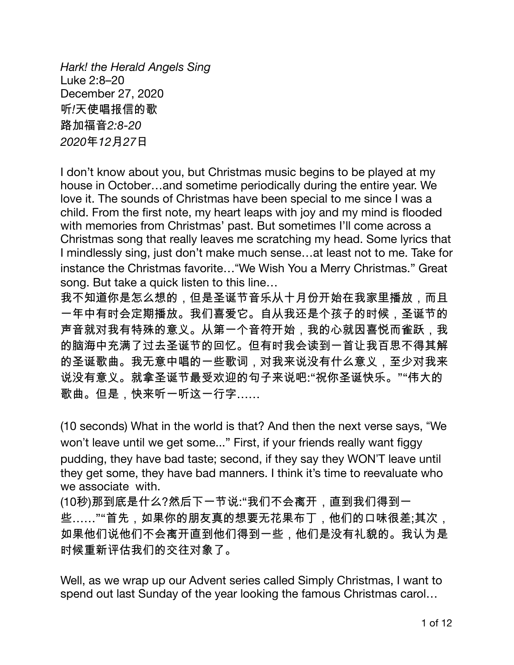Hark! the Herald Angels Sing Luke 2:8-20 December 27, 2020 听!天使唱报信的歌 路加福音2:8-20 2020年12月27日

I don't know about you, but Christmas music begins to be played at my house in October...and sometime periodically during the entire year. We love it. The sounds of Christmas have been special to me since I was a child. From the first note, my heart leaps with joy and my mind is flooded with memories from Christmas' past. But sometimes I'll come across a Christmas song that really leaves me scratching my head. Some lyrics that I mindlessly sing, just don't make much sense... at least not to me. Take for instance the Christmas favorite... "We Wish You a Merry Christmas." Great song. But take a quick listen to this line...

我不知道你是怎么想的,但是圣诞节音乐从十月份开始在我家里播放,而且 一年中有时会定期播放。我们喜爱它。自从我还是个孩子的时候,圣诞节的 声音就对我有特殊的意义。从第一个音符开始,我的心就因喜悦而雀跃,我 的脑海中充满了过去圣诞节的回忆。但有时我会读到一首让我百思不得其解 的圣诞歌曲。我无意中唱的一些歌词,对我来说没有什么意义,至少对我来 说没有意义。就拿圣诞节最受欢迎的句子来说吧:"祝你圣诞快乐。""伟大的 歌曲。但是,快来听一听这一行字……

(10 seconds) What in the world is that? And then the next verse says, "We won't leave until we get some..." First, if your friends really want figgy pudding, they have bad taste; second, if they say they WON'T leave until they get some, they have bad manners. I think it's time to reevaluate who we associate with.

(10秒)那到底是什么?然后下一节说:"我们不会离开,直到我们得到一 些……""首先,如果你的朋友真的想要无花果布丁,他们的口味很差;其次, 如果他们说他们不会离开直到他们得到一些,他们是没有礼貌的。我认为是 时候重新评估我们的交往对象了。

Well, as we wrap up our Advent series called Simply Christmas, I want to spend out last Sunday of the year looking the famous Christmas carol...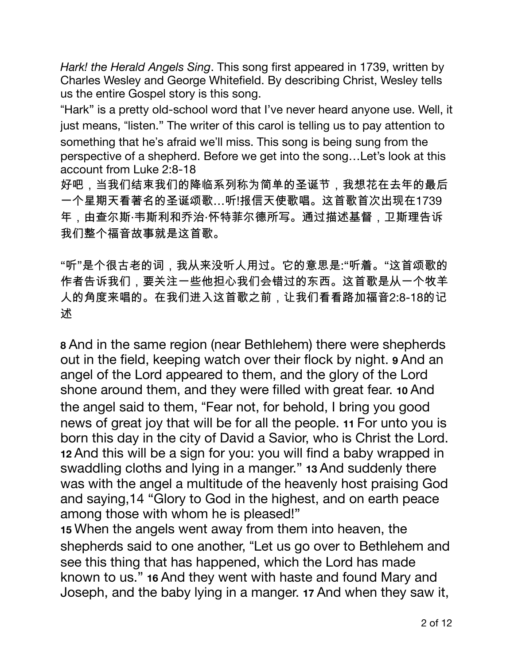Hark! the Herald Angels Sing. This song first appeared in 1739, written by Charles Wesley and George Whitefield. By describing Christ, Wesley tells us the entire Gospel story is this song.

"Hark" is a pretty old-school word that I've never heard anyone use. Well, it just means, "listen." The writer of this carol is telling us to pay attention to something that he's afraid we'll miss. This song is being sung from the perspective of a shepherd. Before we get into the song...Let's look at this account from Luke 2:8-18

好吧,当我们结束我们的降临系列称为简单的圣诞节,我想花在去年的最后 一个星期天看著名的圣诞颂歌…听!报信天使歌唱。这首歌首次出现在1739 年,由查尔斯·韦斯利和乔治·怀特菲尔德所写。通过描述基督,卫斯理告诉 我们整个福音故事就是这首歌。

"听"是个很古老的词,我从来没听人用过。它的意思是:"听着。"这首颂歌的 作者告诉我们,要关注一些他担心我们会错过的东西。这首歌是从一个牧羊 人的角度来唱的。在我们进入这首歌之前,让我们看看路加福音2:8-18的记 述

8 And in the same region (near Bethlehem) there were shepherds out in the field, keeping watch over their flock by night. 9 And an angel of the Lord appeared to them, and the glory of the Lord shone around them, and they were filled with great fear. 10 And the angel said to them, "Fear not, for behold, I bring you good news of great joy that will be for all the people. 11 For unto you is born this day in the city of David a Savior, who is Christ the Lord. 12 And this will be a sign for you: you will find a baby wrapped in swaddling cloths and lying in a manger." 13 And suddenly there was with the angel a multitude of the heavenly host praising God and saying, 14 "Glory to God in the highest, and on earth peace among those with whom he is pleased!"

15 When the angels went away from them into heaven, the shepherds said to one another, "Let us go over to Bethlehem and see this thing that has happened, which the Lord has made known to us." 16 And they went with haste and found Mary and Joseph, and the baby lying in a manger. 17 And when they saw it,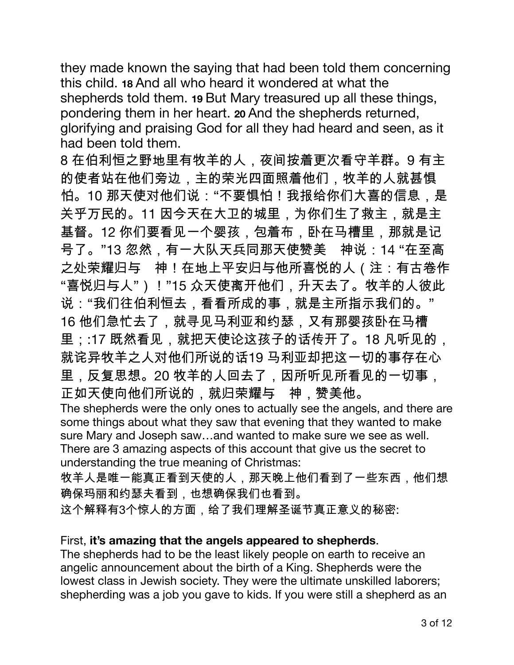they made known the saying that had been told them concerning this child, 18 And all who heard it wondered at what the shepherds told them. 19 But Mary treasured up all these things, pondering them in her heart. 20 And the shepherds returned, glorifying and praising God for all they had heard and seen, as it had been told them.

8 在伯利恒之野地里有牧羊的人, 夜间按着更次看守羊群。9 有主 的使者站在他们旁边,主的荣光四面照着他们,牧羊的人就甚惧 怕。10 那天使对他们说:"不要惧怕!我报给你们大喜的信息,是 关乎万民的。11 因今天在大卫的城里,为你们生了救主,就是主 基督。12 你们要看见一个婴孩,包着布,卧在马槽里,那就是记 号了。"13 忽然,有一大队天兵同那天使赞美 神说:14 "在至高 之处荣耀归与 神!在地上平安归与他所喜悦的人(注:有古卷作 "喜悦归与人")!"15 众天使离开他们,升天去了。牧羊的人彼此 说:"我们往伯利恒去,看看所成的事,就是主所指示我们的。" 16 他们急忙去了,就寻见马利亚和约瑟,又有那婴孩卧在马槽 里::17 既然看见,就把天使论这孩子的话传开了。18 凡听见的, 就诧异牧羊之人对他们所说的话19 马利亚却把这一切的事存在心 里,反复思想。20 牧羊的人回去了,因所听见所看见的一切事, 正如天使向他们所说的,就归荣耀与 神,赞美他。 The shepherds were the only ones to actually see the angels, and there are

some things about what they saw that evening that they wanted to make sure Mary and Joseph saw...and wanted to make sure we see as well. There are 3 amazing aspects of this account that give us the secret to understanding the true meaning of Christmas:

牧羊人是唯一能真正看到天使的人,那天晚上他们看到了一些东西,他们想 确保玛丽和约瑟夫看到,也想确保我们也看到。

这个解释有3个惊人的方面,给了我们理解圣诞节真正意义的秘密:

## First, it's amazing that the angels appeared to shepherds.

The shepherds had to be the least likely people on earth to receive an angelic announcement about the birth of a King. Shepherds were the lowest class in Jewish society. They were the ultimate unskilled laborers; shepherding was a job you gave to kids. If you were still a shepherd as an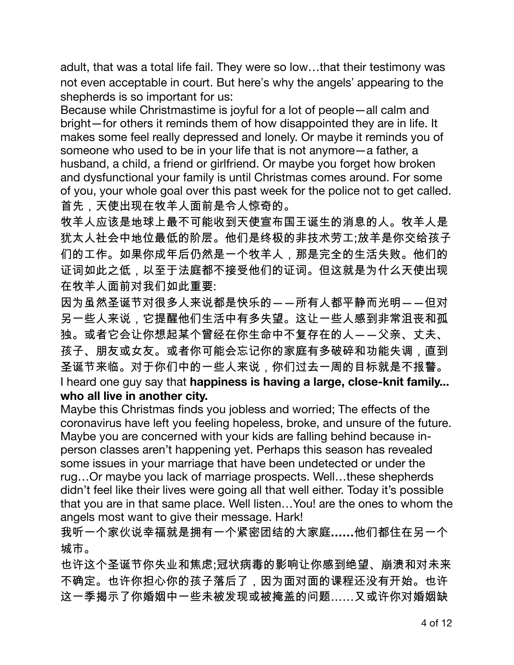adult, that was a total life fail. They were so low...that their testimony was not even acceptable in court. But here's why the angels' appearing to the shepherds is so important for us:

Because while Christmastime is joyful for a lot of people-all calm and bright-for others it reminds them of how disappointed they are in life. It makes some feel really depressed and lonely. Or maybe it reminds you of someone who used to be in your life that is not anymore - a father, a husband, a child, a friend or girlfriend. Or maybe you forget how broken and dysfunctional your family is until Christmas comes around. For some of you, your whole goal over this past week for the police not to get called. 首先,天使出现在牧羊人面前是令人惊奇的。

牧羊人应该是地球上最不可能收到天使宣布国王诞生的消息的人。牧羊人是 犹太人社会中地位最低的阶层。他们是终极的非技术劳工;放羊是你交给孩子 们的工作。如果你成年后仍然是一个牧羊人,那是完全的生活失败。他们的 证词如此之低,以至于法庭都不接受他们的证词。但这就是为什么天使出现 在牧羊人面前对我们如此重要:

因为虽然圣诞节对很多人来说都是快乐的――所有人都平静而光明――但对 另一些人来说,它提醒他们生活中有多失望。这让一些人感到非常沮丧和孤 独。或者它会让你想起某个曾经在你生命中不复存在的人――父亲、丈夫、 孩子、朋友或女友。或者你可能会忘记你的家庭有多破碎和功能失调,直到 圣诞节来临。对于你们中的一些人来说,你们过去一周的目标就是不报警。 I heard one guy say that happiness is having a large, close-knit family... who all live in another city.

Maybe this Christmas finds you jobless and worried; The effects of the coronavirus have left you feeling hopeless, broke, and unsure of the future. Maybe you are concerned with your kids are falling behind because inperson classes aren't happening yet. Perhaps this season has revealed some issues in your marriage that have been undetected or under the rug...Or maybe you lack of marriage prospects. Well...these shepherds didn't feel like their lives were going all that well either. Today it's possible that you are in that same place. Well listen... You! are the ones to whom the angels most want to give their message. Hark!

我听一个家伙说幸福就是拥有一个紧密团结的大家庭......他们都住在另一个 城市。

也许这个圣诞节你失业和焦虑:冠状病毒的影响让你感到绝望、崩溃和对未来 不确定。也许你担心你的孩子落后了,因为面对面的课程还没有开始。也许 这一季揭示了你婚姻中一些未被发现或被掩盖的问题……又或许你对婚姻缺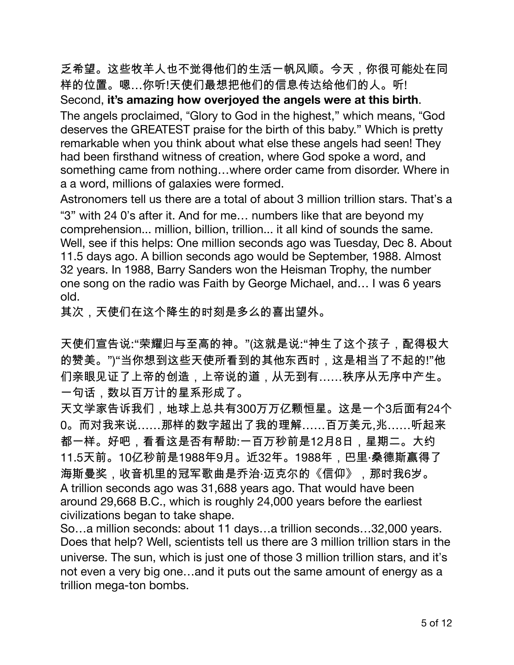乏希望。这些牧羊人也不觉得他们的生活一帆风顺。今天,你很可能处在同 样的位置。嗯…你听!天使们最想把他们的信息传达给他们的人。听! Second, it's amazing how overjoyed the angels were at this birth. The angels proclaimed, "Glory to God in the highest," which means, "God deserves the GREATEST praise for the birth of this baby." Which is pretty remarkable when you think about what else these angels had seen! They had been firsthand witness of creation, where God spoke a word, and something came from nothing...where order came from disorder. Where in a a word, millions of galaxies were formed.

Astronomers tell us there are a total of about 3 million trillion stars. That's a "3" with 24 0's after it. And for me... numbers like that are beyond my comprehension... million, billion, trillion... it all kind of sounds the same. Well, see if this helps: One million seconds ago was Tuesday, Dec 8. About 11.5 days ago. A billion seconds ago would be September, 1988. Almost 32 years. In 1988, Barry Sanders won the Heisman Trophy, the number one song on the radio was Faith by George Michael, and... I was 6 years old.

其次,天使们在这个降生的时刻是多么的喜出望外。

天使们宣告说:"荣耀归与至高的神。"(这就是说:"神生了这个孩子,配得极大 的赞美。")"当你想到这些天使所看到的其他东西时,这是相当了不起的!"他 们亲眼见证了上帝的创造,上帝说的道,从无到有……秩序从无序中产生。 一句话,数以百万计的星系形成了。

天文学家告诉我们,地球上总共有300万万亿颗恒星。这是一个3后面有24个 0。而对我来说……那样的数字超出了我的理解……百万美元,兆……听起来 都一样。好吧,看看这是否有帮助:一百万秒前是12月8日,星期二。大约 11.5天前。10亿秒前是1988年9月。近32年。1988年,巴里·桑德斯赢得了 海斯曼奖,收音机里的冠军歌曲是乔治·迈克尔的《信仰》,那时我6岁。 A trillion seconds ago was 31,688 years ago. That would have been around 29,668 B.C., which is roughly 24,000 years before the earliest civilizations began to take shape.

So...a million seconds: about 11 days...a trillion seconds...32,000 years. Does that help? Well, scientists tell us there are 3 million trillion stars in the universe. The sun, which is just one of those 3 million trillion stars, and it's not even a very big one...and it puts out the same amount of energy as a trillion mega-ton bombs.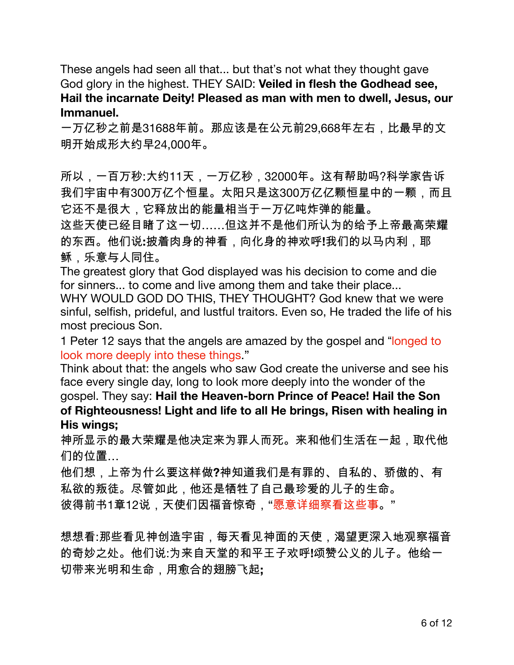These angels had seen all that... but that's not what they thought gave God glory in the highest. THEY SAID: Veiled in flesh the Godhead see, Hail the incarnate Deity! Pleased as man with men to dwell, Jesus, our Immanuel.

一万亿秒之前是31688年前。那应该是在公元前29,668年左右,比最早的文 明开始成形大约早24,000年。

所以,一百万秒:大约11天,一万亿秒,32000年。这有帮助吗?科学家告诉 我们宇宙中有300万亿个恒星。太阳只是这300万亿亿颗恒星中的一颗,而且 它还不是很大,它释放出的能量相当于一万亿吨炸弹的能量。

这些天使已经目睹了这一切……但这并不是他们所认为的给予上帝最高荣耀 的东西。他们说:披着肉身的神看,向化身的神欢呼!我们的以马内利,耶 稣.乐意与人同住。

The greatest glory that God displayed was his decision to come and die for sinners... to come and live among them and take their place...

WHY WOULD GOD DO THIS, THEY THOUGHT? God knew that we were sinful, selfish, prideful, and lustful traitors. Even so, He traded the life of his most precious Son.

1 Peter 12 says that the angels are amazed by the gospel and "longed to look more deeply into these things "

Think about that: the angels who saw God create the universe and see his face every single day, long to look more deeply into the wonder of the gospel. They say: Hail the Heaven-born Prince of Peace! Hail the Son of Righteousness! Light and life to all He brings, Risen with healing in His wings;

神所显示的最大荣耀是他决定来为罪人而死。来和他们生活在一起,取代他 们的位置…

他们想,上帝为什么要这样做?神知道我们是有罪的、自私的、骄傲的、有 私欲的叛徒。尽管如此,他还是牺牲了自己最珍爱的儿子的生命。 彼得前书1章12说,天使们因福音惊奇,"愿意详细察看这些事。"

想想看:那些看见神创造宇宙,每天看见神面的天使,渴望更深入地观察福音 的奇妙之处。他们说:为来自天堂的和平王子欢呼!颂赞公义的儿子。他给一 切带来光明和生命,用愈合的翅膀飞起;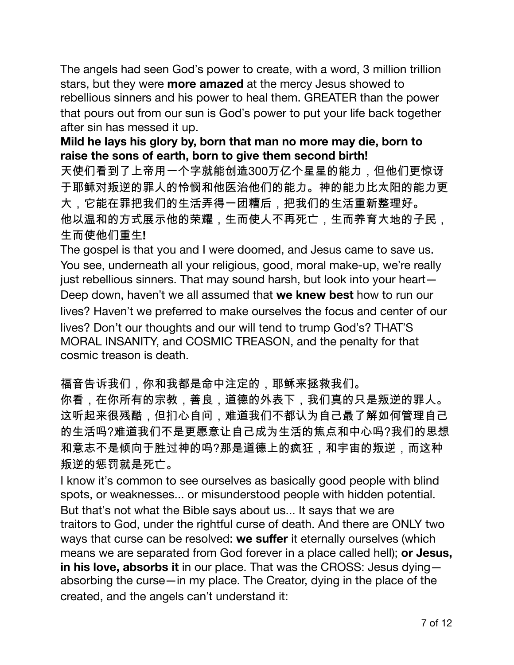The angels had seen God's power to create, with a word, 3 million trillion stars, but they were more amazed at the mercy Jesus showed to rebellious sinners and his power to heal them. GREATER than the power that pours out from our sun is God's power to put your life back together after sin has messed it up.

Mild he lays his glory by, born that man no more may die, born to raise the sons of earth, born to give them second birth!

天使们看到了上帝用一个字就能创造300万亿个星星的能力,但他们更惊讶 于耶稣对叛逆的罪人的怜悯和他医治他们的能力。神的能力比太阳的能力更 大,它能在罪把我们的生活弄得一团糟后,把我们的生活重新整理好。 他以温和的方式展示他的荣耀,生而使人不再死亡,生而养育大地的子民, 生而使他们重生!

The gospel is that you and I were doomed, and Jesus came to save us. You see, underneath all your religious, good, moral make-up, we're really just rebellious sinners. That may sound harsh, but look into your heart-Deep down, haven't we all assumed that we knew best how to run our lives? Haven't we preferred to make ourselves the focus and center of our lives? Don't our thoughts and our will tend to trump God's? THAT'S MORAL INSANITY, and COSMIC TREASON, and the penalty for that cosmic treason is death.

福音告诉我们,你和我都是命中注定的,耶稣来拯救我们。

你看,在你所有的宗教,善良,道德的外表下,我们真的只是叛逆的罪人。 这听起来很残酷,但扪心自问,难道我们不都认为自己最了解如何管理自己 的生活吗?难道我们不是更愿意让自己成为生活的焦点和中心吗?我们的思想 和意志不是倾向于胜过神的吗?那是道德上的疯狂,和宇宙的叛逆,而这种 叛逆的惩罚就是死亡。

I know it's common to see ourselves as basically good people with blind spots, or weaknesses... or misunderstood people with hidden potential. But that's not what the Bible says about us... It says that we are traitors to God, under the rightful curse of death. And there are ONLY two ways that curse can be resolved: we suffer it eternally ourselves (which means we are separated from God forever in a place called hell); or Jesus, in his love, absorbs it in our place. That was the CROSS: Jesus dyingabsorbing the curse-in my place. The Creator, dying in the place of the created, and the angels can't understand it: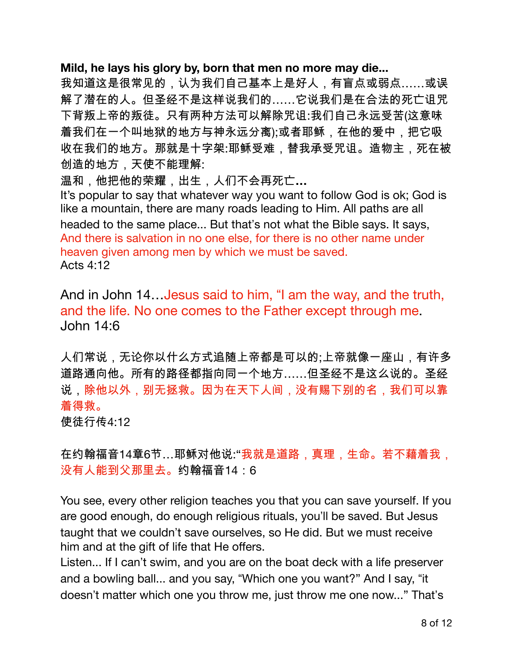## Mild, he lays his glory by, born that men no more may die...

我知道这是很常见的,认为我们自己基本上是好人,有盲点或弱点……或误 解了潜在的人。但圣经不是这样说我们的……它说我们是在合法的死亡诅咒 下背叛上帝的叛徒。只有两种方法可以解除咒诅:我们自己永远受苦(这意味 着我们在一个叫地狱的地方与神永远分离);或者耶稣,在他的爱中,把它吸 收在我们的地方。那就是十字架:耶稣受难,替我承受咒诅。造物主,死在被 创造的地方,天使不能理解:

温和,他把他的荣耀,出生,人们不会再死亡...

It's popular to say that whatever way you want to follow God is ok; God is like a mountain, there are many roads leading to Him. All paths are all headed to the same place... But that's not what the Bible says. It says, And there is salvation in no one else, for there is no other name under heaven given among men by which we must be saved. **Acts 4:12** 

And in John 14... Jesus said to him, "I am the way, and the truth, and the life. No one comes to the Father except through me. John 14:6

人们常说,无论你以什么方式追随上帝都是可以的;上帝就像一座山,有许多 道路通向他。所有的路径都指向同一个地方……但圣经不是这么说的。圣经 说,除他以外,别无拯救。因为在天下人间,没有赐下别的名,我们可以靠 着得救。

使徒行传4:12

在约翰福音14章6节…耶稣对他说:"我就是道路,真理,生命。若不藉着我, 没有人能到父那里去。约翰福音14:6

You see, every other religion teaches you that you can save yourself. If you are good enough, do enough religious rituals, you'll be saved. But Jesus taught that we couldn't save ourselves, so He did. But we must receive him and at the gift of life that He offers.

Listen... If I can't swim, and you are on the boat deck with a life preserver and a bowling ball... and you say, "Which one you want?" And I say, "it doesn't matter which one you throw me, just throw me one now..." That's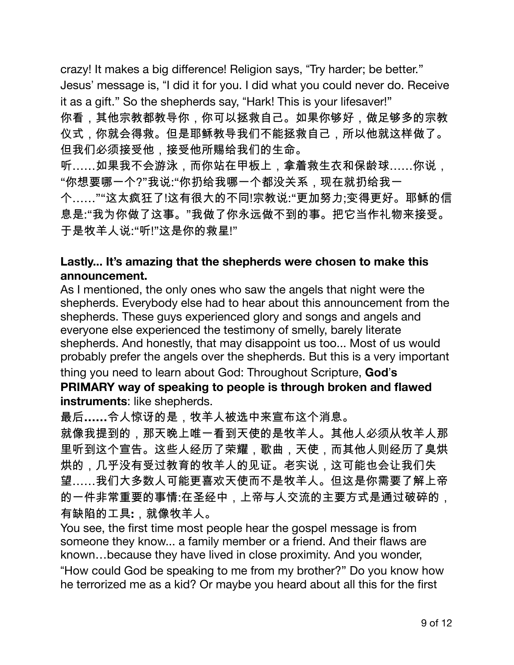crazy! It makes a big difference! Religion says, "Try harder; be better." Jesus' message is, "I did it for you. I did what you could never do. Receive it as a gift." So the shepherds say, "Hark! This is your lifesaver!" 你看,其他宗教都教导你,你可以拯救自己。如果你够好,做足够多的宗教 仪式,你就会得救。但是耶稣教导我们不能拯救自己,所以他就这样做了。 但我们必须接受他,接受他所赐给我们的生命。 听……如果我不会游泳,而你站在甲板上,拿着救生衣和保龄球……你说, "你想要哪一个?"我说:"你扔给我哪一个都没关系,现在就扔给我一 个……""这太疯狂了!这有很大的不同!宗教说:"更加努力:变得更好。耶稣的信 息是:"我为你做了这事。"我做了你永远做不到的事。把它当作礼物来接受。 于是牧羊人说:"听!"这是你的救星!"

## Lastly... It's amazing that the shepherds were chosen to make this announcement.

As I mentioned, the only ones who saw the angels that night were the shepherds. Everybody else had to hear about this announcement from the shepherds. These guys experienced glory and songs and angels and everyone else experienced the testimony of smelly, barely literate shepherds. And honestly, that may disappoint us too... Most of us would probably prefer the angels over the shepherds. But this is a very important thing you need to learn about God: Throughout Scripture, God's PRIMARY way of speaking to people is through broken and flawed instruments: like shepherds.

最后......令人惊讶的是,牧羊人被选中来宣布这个消息。

就像我提到的,那天晚上唯一看到天使的是牧羊人。其他人必须从牧羊人那 里听到这个宣告。这些人经历了荣耀,歌曲,天使,而其他人则经历了臭烘 烘的,几乎没有受过教育的牧羊人的见证。老实说,这可能也会让我们失 望……我们大多数人可能更喜欢天使而不是牧羊人。但这是你需要了解上帝 的一件非常重要的事情:在圣经中,上帝与人交流的主要方式是通过破碎的, 有缺陷的工具:, 就像牧羊人。

You see, the first time most people hear the gospel message is from someone they know... a family member or a friend. And their flaws are known...because they have lived in close proximity. And you wonder, "How could God be speaking to me from my brother?" Do you know how he terrorized me as a kid? Or maybe you heard about all this for the first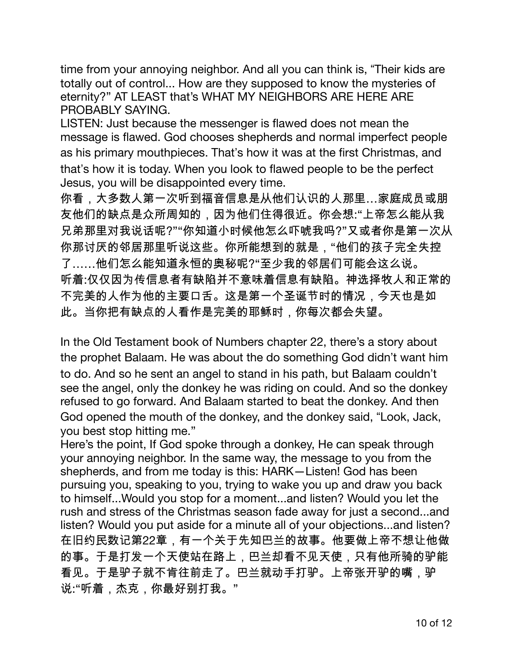time from your annoying neighbor. And all you can think is, "Their kids are totally out of control... How are they supposed to know the mysteries of eternity?" AT LEAST that's WHAT MY NEIGHBORS ARE HERE ARE PROBABLY SAYING.

LISTEN: Just because the messenger is flawed does not mean the message is flawed. God chooses shepherds and normal imperfect people as his primary mouthpieces. That's how it was at the first Christmas, and that's how it is today. When you look to flawed people to be the perfect Jesus, you will be disappointed every time.

你看,大多数人第一次听到福音信息是从他们认识的人那里…家庭成员或朋 友他们的缺点是众所周知的,因为他们住得很近。你会想:"上帝怎么能从我 兄弟那里对我说话呢?""你知道小时候他怎么吓唬我吗?"又或者你是第一次从 你那讨厌的邻居那里听说这些。你所能想到的就是,"他们的孩子完全失控 了……他们怎么能知道永恒的奥秘呢?"至少我的邻居们可能会这么说。 听着:仅仅因为传信息者有缺陷并不意味着信息有缺陷。神选择牧人和正常的 不完美的人作为他的主要口舌。这是第一个圣诞节时的情况,今天也是如 此。当你把有缺点的人看作是完美的耶稣时,你每次都会失望。

In the Old Testament book of Numbers chapter 22, there's a story about the prophet Balaam. He was about the do something God didn't want him to do. And so he sent an angel to stand in his path, but Balaam couldn't see the angel, only the donkey he was riding on could. And so the donkey refused to go forward. And Balaam started to beat the donkey. And then God opened the mouth of the donkey, and the donkey said, "Look, Jack, you best stop hitting me."

Here's the point, If God spoke through a donkey. He can speak through your annoying neighbor. In the same way, the message to you from the shepherds, and from me today is this: HARK-Listen! God has been pursuing you, speaking to you, trying to wake you up and draw you back to himself... Would you stop for a moment... and listen? Would you let the rush and stress of the Christmas season fade away for just a second...and listen? Would you put aside for a minute all of your objections...and listen? 在旧约民数记第22章,有一个关于先知巴兰的故事。他要做上帝不想让他做 的事。于是打发一个天使站在路上,巴兰却看不见天使,只有他所骑的驴能 看见。于是驴子就不肯往前走了。巴兰就动手打驴。上帝张开驴的嘴,驴 说:"听着,杰克,你最好别打我。"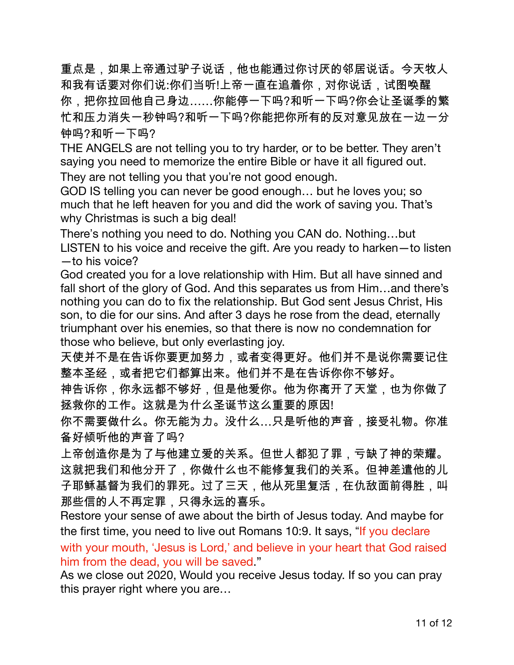重点是,如果上帝通过驴子说话,他也能通过你讨厌的邻居说话。今天牧人 和我有话要对你们说:你们当听!上帝一直在追着你,对你说话,试图唤醒 你,把你拉回他自己身边……你能停一下吗?和听一下吗?你会让圣诞季的繁 忙和压力消失一秒钟吗?和听一下吗?你能把你所有的反对意见放在一边一分 钟吗?和听一下吗?

THE ANGELS are not telling you to try harder, or to be better. They aren't saying you need to memorize the entire Bible or have it all figured out.

They are not telling you that you're not good enough.

GOD IS telling you can never be good enough... but he loves you; so much that he left heaven for you and did the work of saving you. That's why Christmas is such a big deal!

There's nothing you need to do. Nothing you CAN do. Nothing...but LISTEN to his voice and receive the gift. Are you ready to harken-to listen  $-$ to his voice?

God created you for a love relationship with Him. But all have sinned and fall short of the glory of God. And this separates us from Him...and there's nothing you can do to fix the relationship. But God sent Jesus Christ, His son, to die for our sins. And after 3 days he rose from the dead, eternally triumphant over his enemies, so that there is now no condemnation for those who believe, but only everlasting joy.

天使并不是在告诉你要更加努力,或者变得更好。他们并不是说你需要记住 整本圣经,或者把它们都算出来。他们并不是在告诉你你不够好。

神告诉你,你永远都不够好,但是他爱你。他为你离开了天堂,也为你做了 拯救你的工作。这就是为什么圣诞节这么重要的原因!

你不需要做什么。你无能为力。没什么…只是听他的声音,接受礼物。你准 备好倾听他的声音了吗?

上帝创造你是为了与他建立爱的关系。但世人都犯了罪,亏缺了神的荣耀。 这就把我们和他分开了,你做什么也不能修复我们的关系。但神差遣他的儿 子耶稣基督为我们的罪死。过了三天,他从死里复活,在仇敌面前得胜,叫 那些信的人不再定罪,只得永远的喜乐。

Restore your sense of awe about the birth of Jesus today. And maybe for the first time, you need to live out Romans 10:9. It says, "If you declare"

with your mouth, 'Jesus is Lord,' and believe in your heart that God raised him from the dead, you will be saved."

As we close out 2020, Would you receive Jesus today. If so you can pray this prayer right where you are...